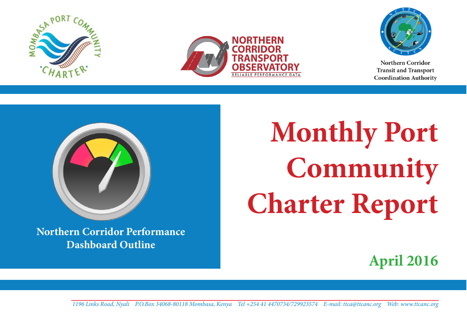





Northern Corridor **Transit and Transport Coordination Authority** 



**Northern Corridor Performance Dashboard Outline**

**Monthly Port Community Charter Report**

**April 2016**

**1** *1196 Links Road, Nyali P.O.Box 34068-80118 Mombasa, Kenya Tel +254 41 4470734/729923574 E-mail: ttca@ttcanc.org Web: www.ttcanc.org*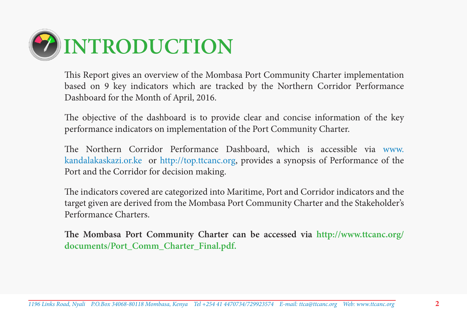

This Report gives an overview of the Mombasa Port Community Charter implementation based on 9 key indicators which are tracked by the Northern Corridor Performance Dashboard for the Month of April, 2016.

The objective of the dashboard is to provide clear and concise information of the key performance indicators on implementation of the Port Community Charter.

The Northern Corridor Performance Dashboard, which is accessible via www. kandalakaskazi.or.ke or http://top.ttcanc.org, provides a synopsis of Performance of the Port and the Corridor for decision making.

The indicators covered are categorized into Maritime, Port and Corridor indicators and the target given are derived from the Mombasa Port Community Charter and the Stakeholder's Performance Charters.

**The Mombasa Port Community Charter can be accessed via http://www.ttcanc.org/ documents/Port\_Comm\_Charter\_Final.pdf.**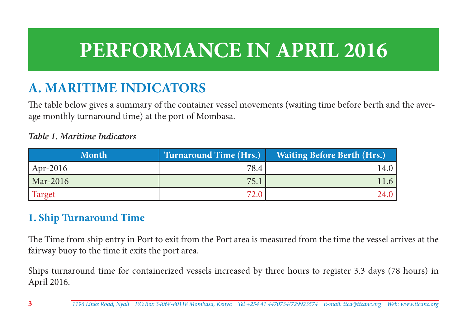# **PERFORMANCE IN APRIL 2016**

# **A. MARITIME INDICATORS**

The table below gives a summary of the container vessel movements (waiting time before berth and the average monthly turnaround time) at the port of Mombasa.

#### *Table 1. Maritime Indicators*

| <b>Month</b> | <b>Turnaround Time (Hrs.)</b> | <b>Waiting Before Berth (Hrs.)</b> |
|--------------|-------------------------------|------------------------------------|
| $Apr-2016$   | 78.4                          | 14.0                               |
| Mar-2016     | 75.1                          | 11.6                               |
| Target       | 72.0                          | 24.0                               |

#### **1. Ship Turnaround Time**

The Time from ship entry in Port to exit from the Port area is measured from the time the vessel arrives at the fairway buoy to the time it exits the port area.

Ships turnaround time for containerized vessels increased by three hours to register 3.3 days (78 hours) in April 2016.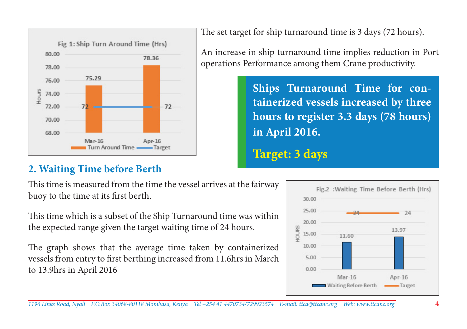

The set target for ship turnaround time is 3 days (72 hours).

An increase in ship turnaround time implies reduction in Port operations Performance among them Crane productivity.

> **Ships Turnaround Time for containerized vessels increased by three hours to register 3.3 days (78 hours) in April 2016. Target: 3 days**

### **2. Waiting Time before Berth**

This time is measured from the time the vessel arrives at the fairway buoy to the time at its first berth.

This time which is a subset of the Ship Turnaround time was within the expected range given the target waiting time of 24 hours.

The graph shows that the average time taken by containerized vessels from entry to first berthing increased from 11.6hrs in March to 13.9hrs in April 2016

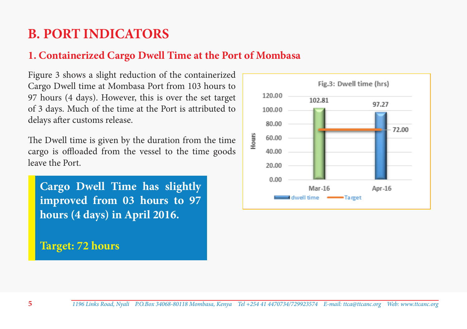# **B. PORT INDICATORS**

### **1. Containerized Cargo Dwell Time at the Port of Mombasa**

Figure 3 shows a slight reduction of the containerized Cargo Dwell time at Mombasa Port from 103 hours to 97 hours (4 days). However, this is over the set target of 3 days. Much of the time at the Port is attributed to delays after customs release.

The Dwell time is given by the duration from the time cargo is offloaded from the vessel to the time goods leave the Port.

**Cargo Dwell Time has slightly improved from 03 hours to 97 hours (4 days) in April 2016.**

**Target: 72 hours**

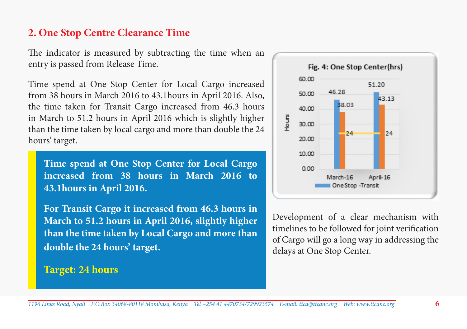#### **2. One Stop Centre Clearance Time**

The indicator is measured by subtracting the time when an entry is passed from Release Time.

Time spend at One Stop Center for Local Cargo increased from 38 hours in March 2016 to 43.1hours in April 2016. Also, the time taken for Transit Cargo increased from 46.3 hours in March to 51.2 hours in April 2016 which is slightly higher than the time taken by local cargo and more than double the 24 hours' target.

**Time spend at One Stop Center for Local Cargo increased from 38 hours in March 2016 to 43.1hours in April 2016.** 

**For Transit Cargo it increased from 46.3 hours in March to 51.2 hours in April 2016, slightly higher than the time taken by Local Cargo and more than double the 24 hours' target.**

#### **Target: 24 hours**



Development of a clear mechanism with timelines to be followed for joint verification of Cargo will go a long way in addressing the delays at One Stop Center.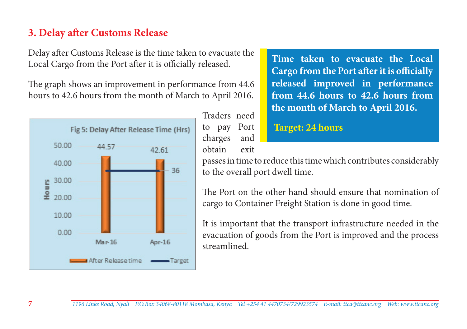#### **3. Delay after Customs Release**

Delay after Customs Release is the time taken to evacuate the Local Cargo from the Port after it is officially released.

The graph shows an improvement in performance from 44.6 hours to 42.6 hours from the month of March to April 2016.



Traders need to pay Port charges and obtain exit

**Time taken to evacuate the Local Cargo from the Port after it is officially released improved in performance from 44.6 hours to 42.6 hours from the month of March to April 2016.**

#### **Target: 24 hours**

passes in time to reduce this time which contributes considerably to the overall port dwell time.

The Port on the other hand should ensure that nomination of cargo to Container Freight Station is done in good time.

It is important that the transport infrastructure needed in the evacuation of goods from the Port is improved and the process streamlined.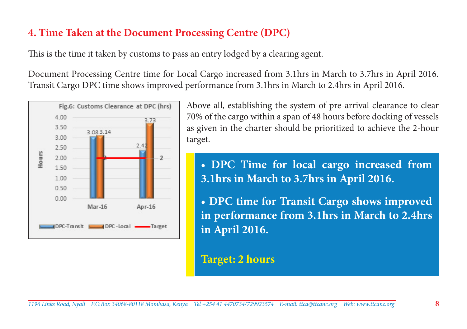#### **4. Time Taken at the Document Processing Centre (DPC)**

This is the time it taken by customs to pass an entry lodged by a clearing agent.

Document Processing Centre time for Local Cargo increased from 3.1hrs in March to 3.7hrs in April 2016. Transit Cargo DPC time shows improved performance from 3.1hrs in March to 2.4hrs in April 2016.



Above all, establishing the system of pre-arrival clearance to clear 70% of the cargo within a span of 48 hours before docking of vessels as given in the charter should be prioritized to achieve the 2-hour target.

**• DPC Time for local cargo increased from 3.1hrs in March to 3.7hrs in April 2016.** 

**• DPC time for Transit Cargo shows improved in performance from 3.1hrs in March to 2.4hrs in April 2016.**

#### **Target: 2 hours**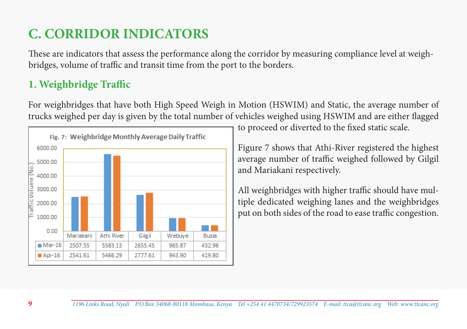# **C. CORRIDOR INDICATORS**

These are indicators that assess the performance along the corridor by measuring compliance level at weighbridges, volume of traffic and transit time from the port to the borders.

### **1. Weighbridge Traffic**

For weighbridges that have both High Speed Weigh in Motion (HSWIM) and Static, the average number of trucks weighed per day is given by the total number of vehicles weighed using HSWIM and are either flagged



to proceed or diverted to the fixed static scale.

Figure 7 shows that Athi-River registered the highest average number of traffic weighed followed by Gilgil and Mariakani respectively.

All weighbridges with higher traffic should have multiple dedicated weighing lanes and the weighbridges put on both sides of the road to ease traffic congestion.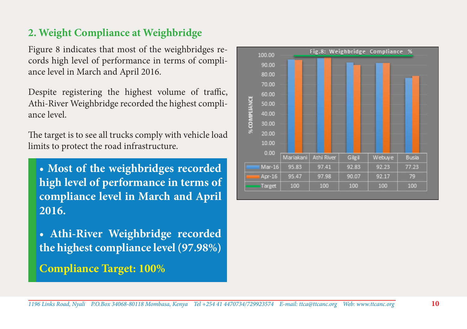#### **2. Weight Compliance at Weighbridge**

Figure 8 indicates that most of the weighbridges records high level of performance in terms of compliance level in March and April 2016.

Despite registering the highest volume of traffic, Athi-River Weighbridge recorded the highest compliance level.

The target is to see all trucks comply with vehicle load limits to protect the road infrastructure.

**• Most of the weighbridges recorded high level of performance in terms of compliance level in March and April 2016.** 

**• Athi-River Weighbridge recorded the highest compliance level (97.98%)**

**Compliance Target: 100%**

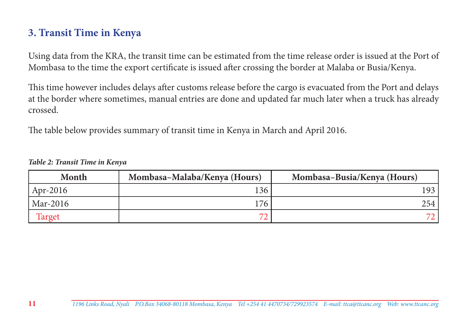#### **3. Transit Time in Kenya**

Using data from the KRA, the transit time can be estimated from the time release order is issued at the Port of Mombasa to the time the export certificate is issued after crossing the border at Malaba or Busia/Kenya.

This time however includes delays after customs release before the cargo is evacuated from the Port and delays at the border where sometimes, manual entries are done and updated far much later when a truck has already crossed.

The table below provides summary of transit time in Kenya in March and April 2016.

| Month    | Mombasa-Malaba/Kenya (Hours) | Mombasa-Busia/Kenya (Hours) |
|----------|------------------------------|-----------------------------|
| Apr-2016 | 136                          | 193                         |
| Mar-2016 | 176                          | 254                         |
| Target   | $\overline{\phantom{a}}$     |                             |

*Table 2: Transit Time in Kenya*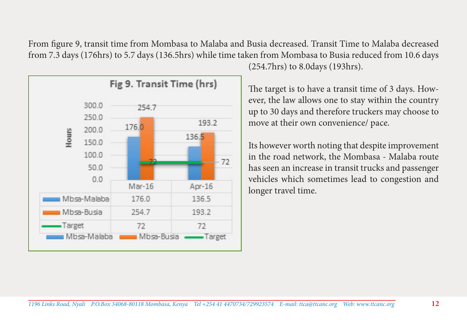From figure 9, transit time from Mombasa to Malaba and Busia decreased. Transit Time to Malaba decreased from 7.3 days (176hrs) to 5.7 days (136.5hrs) while time taken from Mombasa to Busia reduced from 10.6 days



(254.7hrs) to 8.0days (193hrs).

The target is to have a transit time of 3 days. However, the law allows one to stay within the country up to 30 days and therefore truckers may choose to move at their own convenience/ pace.

Its however worth noting that despite improvement in the road network, the Mombasa - Malaba route has seen an increase in transit trucks and passenger vehicles which sometimes lead to congestion and longer travel time.